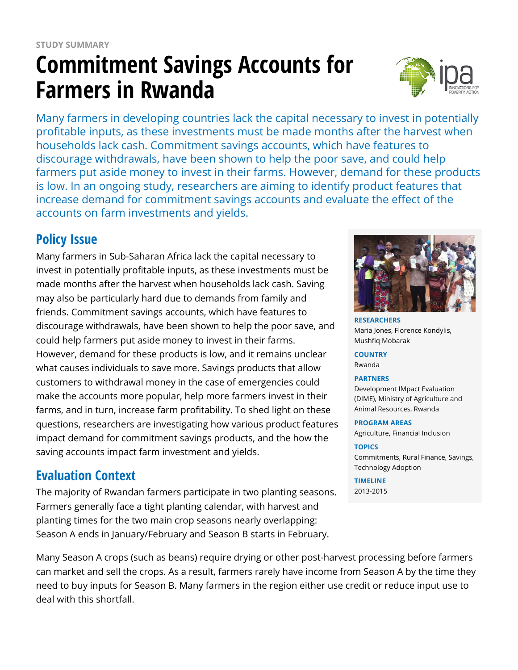# **Commitment Savings Accounts for Farmers in Rwanda**



Many farmers in developing countries lack the capital necessary to invest in potentially profitable inputs, as these investments must be made months after the harvest when households lack cash. Commitment savings accounts, which have features to discourage withdrawals, have been shown to help the poor save, and could help farmers put aside money to invest in their farms. However, demand for these products is low. In an ongoing study, researchers are aiming to identify product features that increase demand for commitment savings accounts and evaluate the effect of the accounts on farm investments and yields.

# **Policy Issue**

Many farmers in Sub-Saharan Africa lack the capital necessary to invest in potentially profitable inputs, as these investments must be made months after the harvest when households lack cash. Saving may also be particularly hard due to demands from family and friends. Commitment savings accounts, which have features to discourage withdrawals, have been shown to help the poor save, and could help farmers put aside money to invest in their farms. However, demand for these products is low, and it remains unclear what causes individuals to save more. Savings products that allow customers to withdrawal money in the case of emergencies could make the accounts more popular, help more farmers invest in their farms, and in turn, increase farm profitability. To shed light on these questions, researchers are investigating how various product features impact demand for commitment savings products, and the how the saving accounts impact farm investment and yields.

## **Evaluation Context**

The majority of Rwandan farmers participate in two planting seasons. Farmers generally face a tight planting calendar, with harvest and planting times for the two main crop seasons nearly overlapping: Season A ends in January/February and Season B starts in February.



**RESEARCHERS** Maria Jones, Florence Kondylis, Mushfiq Mobarak

**COUNTRY** Rwanda

#### **PARTNERS**

Development IMpact Evaluation (DIME), Ministry of Agriculture and Animal Resources, Rwanda

#### **PROGRAM AREAS**

Agriculture, Financial Inclusion

#### **TOPICS**

Commitments, Rural Finance, Savings, Technology Adoption

#### **TIMELINE**

2013-2015

Many Season A crops (such as beans) require drying or other post-harvest processing before farmers can market and sell the crops. As a result, farmers rarely have income from Season A by the time they need to buy inputs for Season B. Many farmers in the region either use credit or reduce input use to deal with this shortfall.